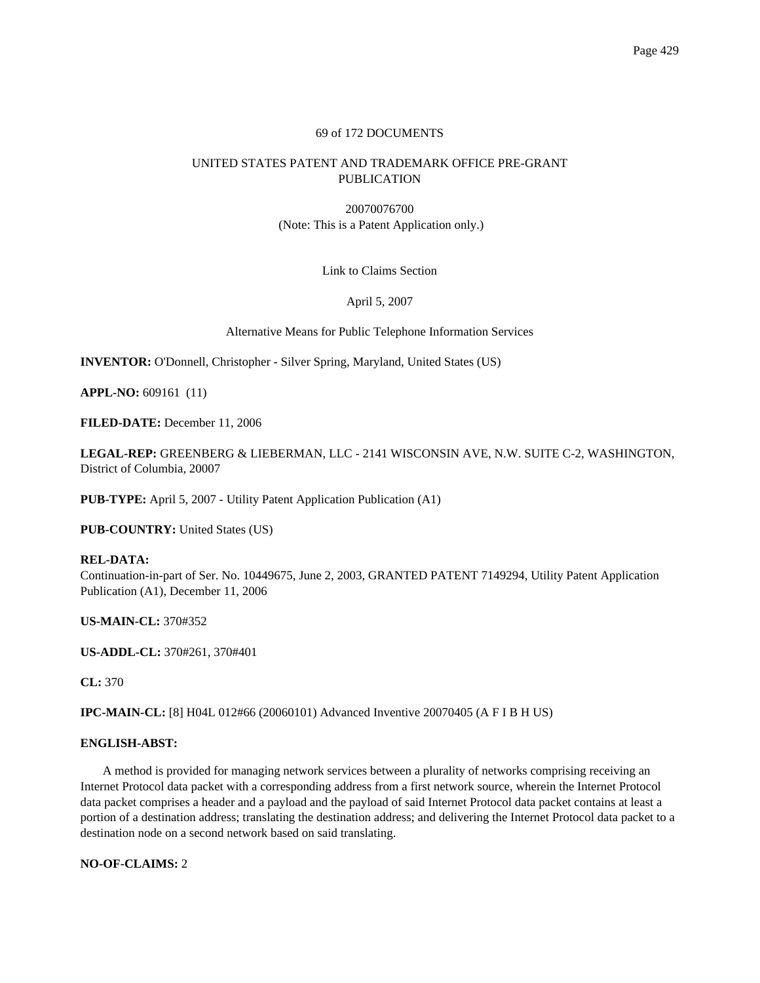# 69 of 172 DOCUMENTS

# UNITED STATES PATENT AND TRADEMARK OFFICE PRE-GRANT PUBLICATION

20070076700 (Note: This is a Patent Application only.)

Link to Claims Section

April 5, 2007

Alternative Means for Public Telephone Information Services

**INVENTOR:** O'Donnell, Christopher - Silver Spring, Maryland, United States (US)

**APPL-NO:** 609161 (11)

**FILED-DATE:** December 11, 2006

**LEGAL-REP:** GREENBERG & LIEBERMAN, LLC - 2141 WISCONSIN AVE, N.W. SUITE C-2, WASHINGTON, District of Columbia, 20007

**PUB-TYPE:** April 5, 2007 - Utility Patent Application Publication (A1)

**PUB-COUNTRY:** United States (US)

**REL-DATA:** Continuation-in-part of Ser. No. 10449675, June 2, 2003, GRANTED PATENT 7149294, Utility Patent Application Publication (A1), December 11, 2006

**US-MAIN-CL:** 370#352

**US-ADDL-CL:** 370#261, 370#401

**CL:** 370

**IPC-MAIN-CL:** [8] H04L 012#66 (20060101) Advanced Inventive 20070405 (A F I B H US)

# **ENGLISH-ABST:**

A method is provided for managing network services between a plurality of networks comprising receiving an Internet Protocol data packet with a corresponding address from a first network source, wherein the Internet Protocol data packet comprises a header and a payload and the payload of said Internet Protocol data packet contains at least a portion of a destination address; translating the destination address; and delivering the Internet Protocol data packet to a destination node on a second network based on said translating.

**NO-OF-CLAIMS:** 2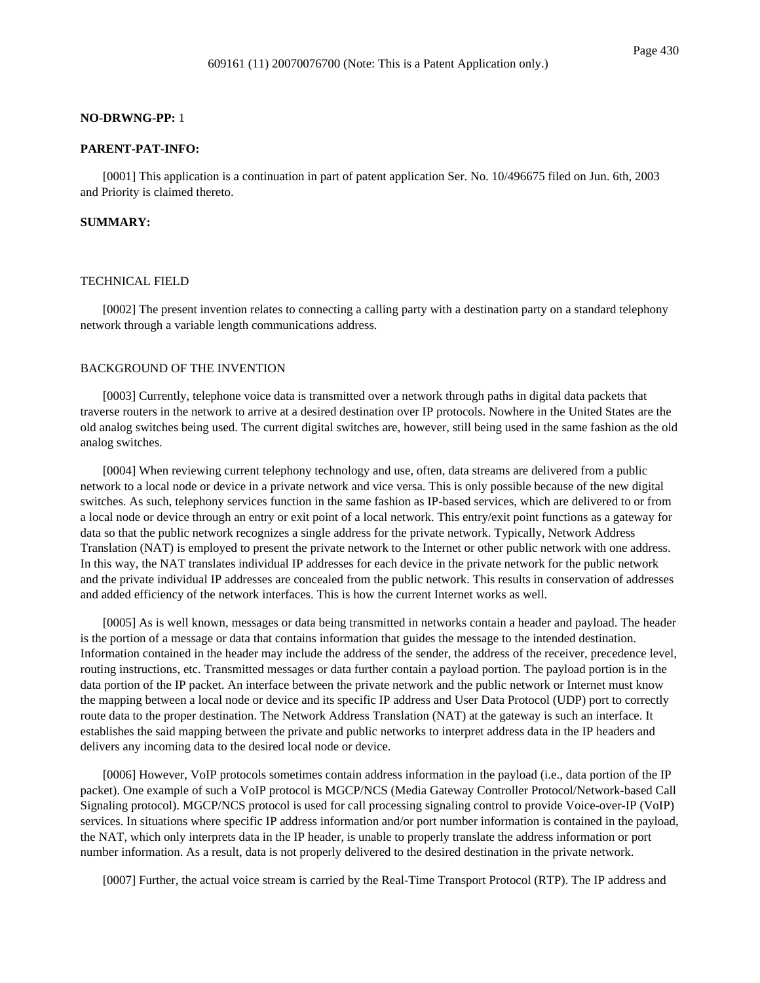#### **NO-DRWNG-PP:** 1

## **PARENT-PAT-INFO:**

[0001] This application is a continuation in part of patent application Ser. No. 10/496675 filed on Jun. 6th, 2003 and Priority is claimed thereto.

### **SUMMARY:**

#### TECHNICAL FIELD

[0002] The present invention relates to connecting a calling party with a destination party on a standard telephony network through a variable length communications address.

# BACKGROUND OF THE INVENTION

[0003] Currently, telephone voice data is transmitted over a network through paths in digital data packets that traverse routers in the network to arrive at a desired destination over IP protocols. Nowhere in the United States are the old analog switches being used. The current digital switches are, however, still being used in the same fashion as the old analog switches.

[0004] When reviewing current telephony technology and use, often, data streams are delivered from a public network to a local node or device in a private network and vice versa. This is only possible because of the new digital switches. As such, telephony services function in the same fashion as IP-based services, which are delivered to or from a local node or device through an entry or exit point of a local network. This entry/exit point functions as a gateway for data so that the public network recognizes a single address for the private network. Typically, Network Address Translation (NAT) is employed to present the private network to the Internet or other public network with one address. In this way, the NAT translates individual IP addresses for each device in the private network for the public network and the private individual IP addresses are concealed from the public network. This results in conservation of addresses and added efficiency of the network interfaces. This is how the current Internet works as well.

[0005] As is well known, messages or data being transmitted in networks contain a header and payload. The header is the portion of a message or data that contains information that guides the message to the intended destination. Information contained in the header may include the address of the sender, the address of the receiver, precedence level, routing instructions, etc. Transmitted messages or data further contain a payload portion. The payload portion is in the data portion of the IP packet. An interface between the private network and the public network or Internet must know the mapping between a local node or device and its specific IP address and User Data Protocol (UDP) port to correctly route data to the proper destination. The Network Address Translation (NAT) at the gateway is such an interface. It establishes the said mapping between the private and public networks to interpret address data in the IP headers and delivers any incoming data to the desired local node or device.

[0006] However, VoIP protocols sometimes contain address information in the payload (i.e., data portion of the IP packet). One example of such a VoIP protocol is MGCP/NCS (Media Gateway Controller Protocol/Network-based Call Signaling protocol). MGCP/NCS protocol is used for call processing signaling control to provide Voice-over-IP (VoIP) services. In situations where specific IP address information and/or port number information is contained in the payload, the NAT, which only interprets data in the IP header, is unable to properly translate the address information or port number information. As a result, data is not properly delivered to the desired destination in the private network.

[0007] Further, the actual voice stream is carried by the Real-Time Transport Protocol (RTP). The IP address and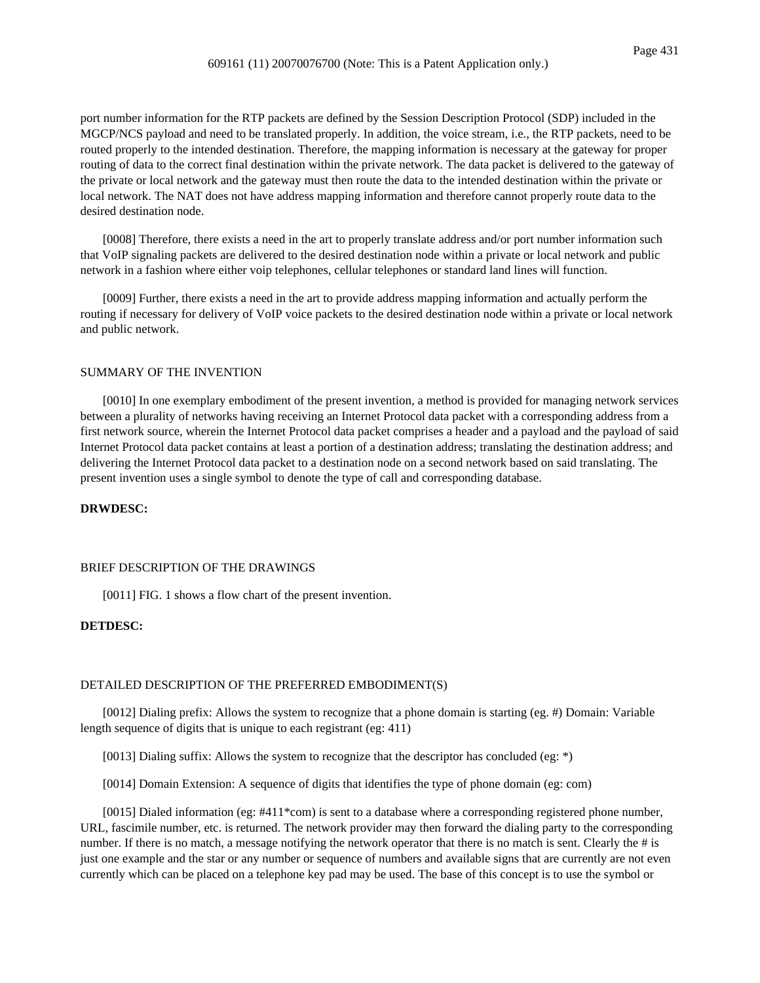port number information for the RTP packets are defined by the Session Description Protocol (SDP) included in the MGCP/NCS payload and need to be translated properly. In addition, the voice stream, i.e., the RTP packets, need to be routed properly to the intended destination. Therefore, the mapping information is necessary at the gateway for proper routing of data to the correct final destination within the private network. The data packet is delivered to the gateway of the private or local network and the gateway must then route the data to the intended destination within the private or local network. The NAT does not have address mapping information and therefore cannot properly route data to the desired destination node.

[0008] Therefore, there exists a need in the art to properly translate address and/or port number information such that VoIP signaling packets are delivered to the desired destination node within a private or local network and public network in a fashion where either voip telephones, cellular telephones or standard land lines will function.

[0009] Further, there exists a need in the art to provide address mapping information and actually perform the routing if necessary for delivery of VoIP voice packets to the desired destination node within a private or local network and public network.

### SUMMARY OF THE INVENTION

[0010] In one exemplary embodiment of the present invention, a method is provided for managing network services between a plurality of networks having receiving an Internet Protocol data packet with a corresponding address from a first network source, wherein the Internet Protocol data packet comprises a header and a payload and the payload of said Internet Protocol data packet contains at least a portion of a destination address; translating the destination address; and delivering the Internet Protocol data packet to a destination node on a second network based on said translating. The present invention uses a single symbol to denote the type of call and corresponding database.

# **DRWDESC:**

## BRIEF DESCRIPTION OF THE DRAWINGS

[0011] FIG. 1 shows a flow chart of the present invention.

#### **DETDESC:**

#### DETAILED DESCRIPTION OF THE PREFERRED EMBODIMENT(S)

[0012] Dialing prefix: Allows the system to recognize that a phone domain is starting (eg. #) Domain: Variable length sequence of digits that is unique to each registrant (eg: 411)

[0013] Dialing suffix: Allows the system to recognize that the descriptor has concluded (eg: \*)

[0014] Domain Extension: A sequence of digits that identifies the type of phone domain (eg: com)

[0015] Dialed information (eg: #411\*com) is sent to a database where a corresponding registered phone number, URL, fascimile number, etc. is returned. The network provider may then forward the dialing party to the corresponding number. If there is no match, a message notifying the network operator that there is no match is sent. Clearly the # is just one example and the star or any number or sequence of numbers and available signs that are currently are not even currently which can be placed on a telephone key pad may be used. The base of this concept is to use the symbol or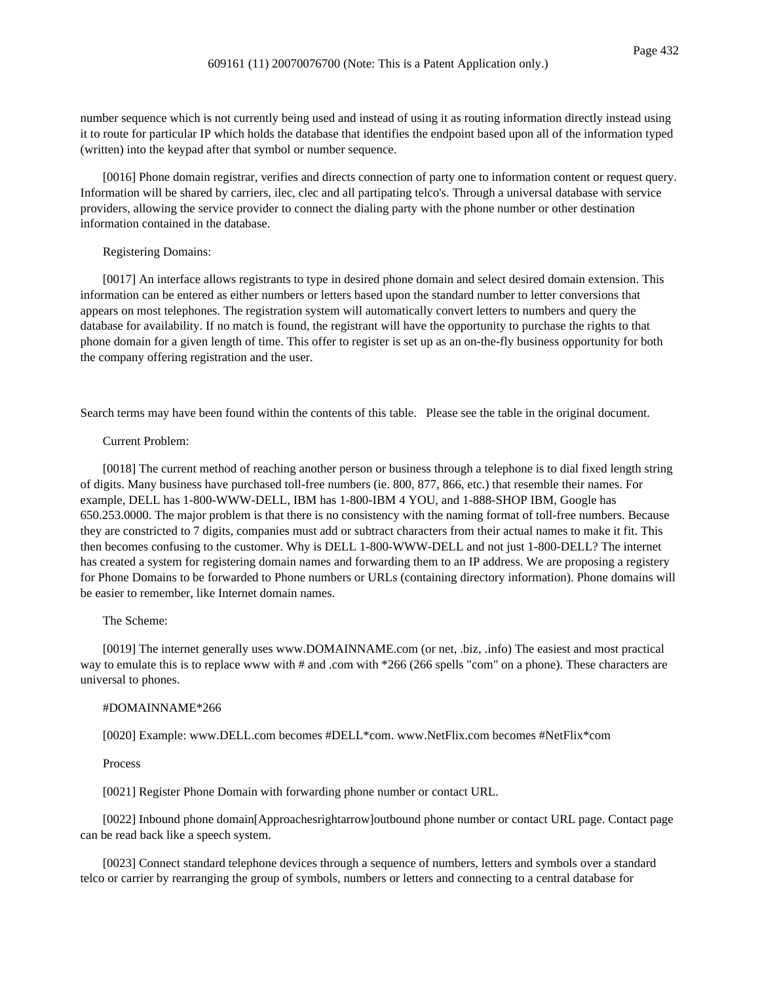number sequence which is not currently being used and instead of using it as routing information directly instead using it to route for particular IP which holds the database that identifies the endpoint based upon all of the information typed (written) into the keypad after that symbol or number sequence.

[0016] Phone domain registrar, verifies and directs connection of party one to information content or request query. Information will be shared by carriers, ilec, clec and all partipating telco's. Through a universal database with service providers, allowing the service provider to connect the dialing party with the phone number or other destination information contained in the database.

#### Registering Domains:

[0017] An interface allows registrants to type in desired phone domain and select desired domain extension. This information can be entered as either numbers or letters based upon the standard number to letter conversions that appears on most telephones. The registration system will automatically convert letters to numbers and query the database for availability. If no match is found, the registrant will have the opportunity to purchase the rights to that phone domain for a given length of time. This offer to register is set up as an on-the-fly business opportunity for both the company offering registration and the user.

Search terms may have been found within the contents of this table. Please see the table in the original document.

### Current Problem:

[0018] The current method of reaching another person or business through a telephone is to dial fixed length string of digits. Many business have purchased toll-free numbers (ie. 800, 877, 866, etc.) that resemble their names. For example, DELL has 1-800-WWW-DELL, IBM has 1-800-IBM 4 YOU, and 1-888-SHOP IBM, Google has 650.253.0000. The major problem is that there is no consistency with the naming format of toll-free numbers. Because they are constricted to 7 digits, companies must add or subtract characters from their actual names to make it fit. This then becomes confusing to the customer. Why is DELL 1-800-WWW-DELL and not just 1-800-DELL? The internet has created a system for registering domain names and forwarding them to an IP address. We are proposing a registery for Phone Domains to be forwarded to Phone numbers or URLs (containing directory information). Phone domains will be easier to remember, like Internet domain names.

# The Scheme:

[0019] The internet generally uses www.DOMAINNAME.com (or net, .biz, .info) The easiest and most practical way to emulate this is to replace www with # and .com with \*266 (266 spells "com" on a phone). These characters are universal to phones.

#### #DOMAINNAME\*266

[0020] Example: www.DELL.com becomes #DELL\*com. www.NetFlix.com becomes #NetFlix\*com

Process

[0021] Register Phone Domain with forwarding phone number or contact URL.

[0022] Inbound phone domain[Approachesrightarrow]outbound phone number or contact URL page. Contact page can be read back like a speech system.

[0023] Connect standard telephone devices through a sequence of numbers, letters and symbols over a standard telco or carrier by rearranging the group of symbols, numbers or letters and connecting to a central database for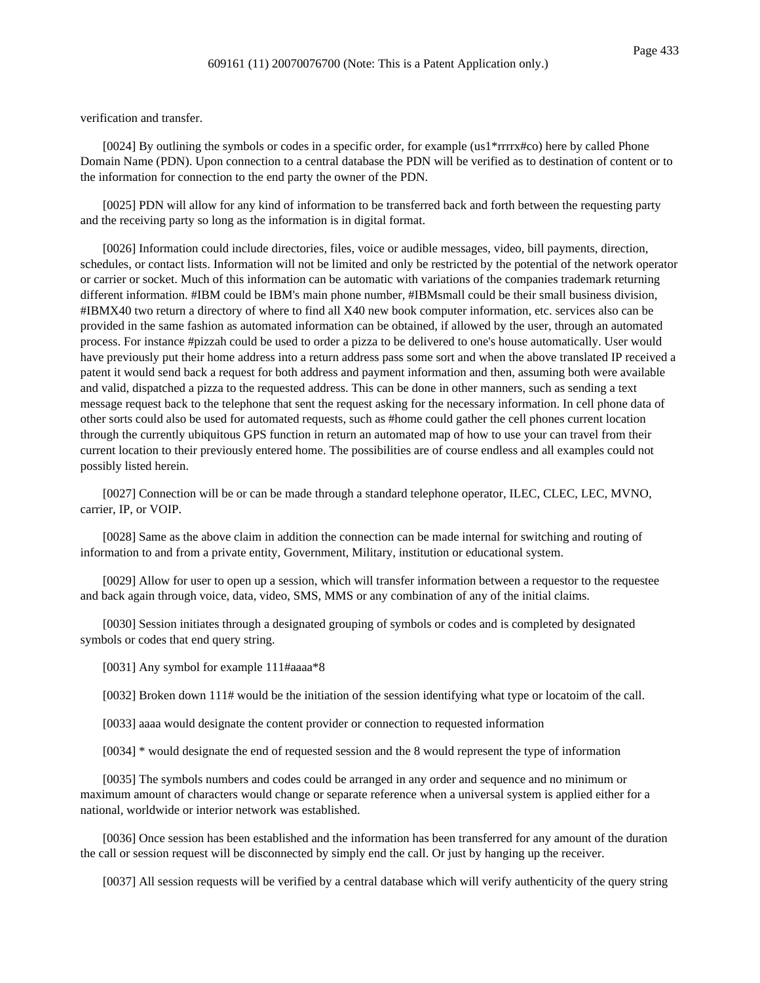verification and transfer.

[0024] By outlining the symbols or codes in a specific order, for example (us1\*rrrrx#co) here by called Phone Domain Name (PDN). Upon connection to a central database the PDN will be verified as to destination of content or to the information for connection to the end party the owner of the PDN.

[0025] PDN will allow for any kind of information to be transferred back and forth between the requesting party and the receiving party so long as the information is in digital format.

[0026] Information could include directories, files, voice or audible messages, video, bill payments, direction, schedules, or contact lists. Information will not be limited and only be restricted by the potential of the network operator or carrier or socket. Much of this information can be automatic with variations of the companies trademark returning different information. #IBM could be IBM's main phone number, #IBMsmall could be their small business division, #IBMX40 two return a directory of where to find all X40 new book computer information, etc. services also can be provided in the same fashion as automated information can be obtained, if allowed by the user, through an automated process. For instance #pizzah could be used to order a pizza to be delivered to one's house automatically. User would have previously put their home address into a return address pass some sort and when the above translated IP received a patent it would send back a request for both address and payment information and then, assuming both were available and valid, dispatched a pizza to the requested address. This can be done in other manners, such as sending a text message request back to the telephone that sent the request asking for the necessary information. In cell phone data of other sorts could also be used for automated requests, such as #home could gather the cell phones current location through the currently ubiquitous GPS function in return an automated map of how to use your can travel from their current location to their previously entered home. The possibilities are of course endless and all examples could not possibly listed herein.

[0027] Connection will be or can be made through a standard telephone operator, ILEC, CLEC, LEC, MVNO, carrier, IP, or VOIP.

[0028] Same as the above claim in addition the connection can be made internal for switching and routing of information to and from a private entity, Government, Military, institution or educational system.

[0029] Allow for user to open up a session, which will transfer information between a requestor to the requestee and back again through voice, data, video, SMS, MMS or any combination of any of the initial claims.

[0030] Session initiates through a designated grouping of symbols or codes and is completed by designated symbols or codes that end query string.

[0031] Any symbol for example 111#aaaa\*8

[0032] Broken down 111# would be the initiation of the session identifying what type or locatoim of the call.

- [0033] aaaa would designate the content provider or connection to requested information
- [0034] \* would designate the end of requested session and the 8 would represent the type of information

[0035] The symbols numbers and codes could be arranged in any order and sequence and no minimum or maximum amount of characters would change or separate reference when a universal system is applied either for a national, worldwide or interior network was established.

[0036] Once session has been established and the information has been transferred for any amount of the duration the call or session request will be disconnected by simply end the call. Or just by hanging up the receiver.

[0037] All session requests will be verified by a central database which will verify authenticity of the query string